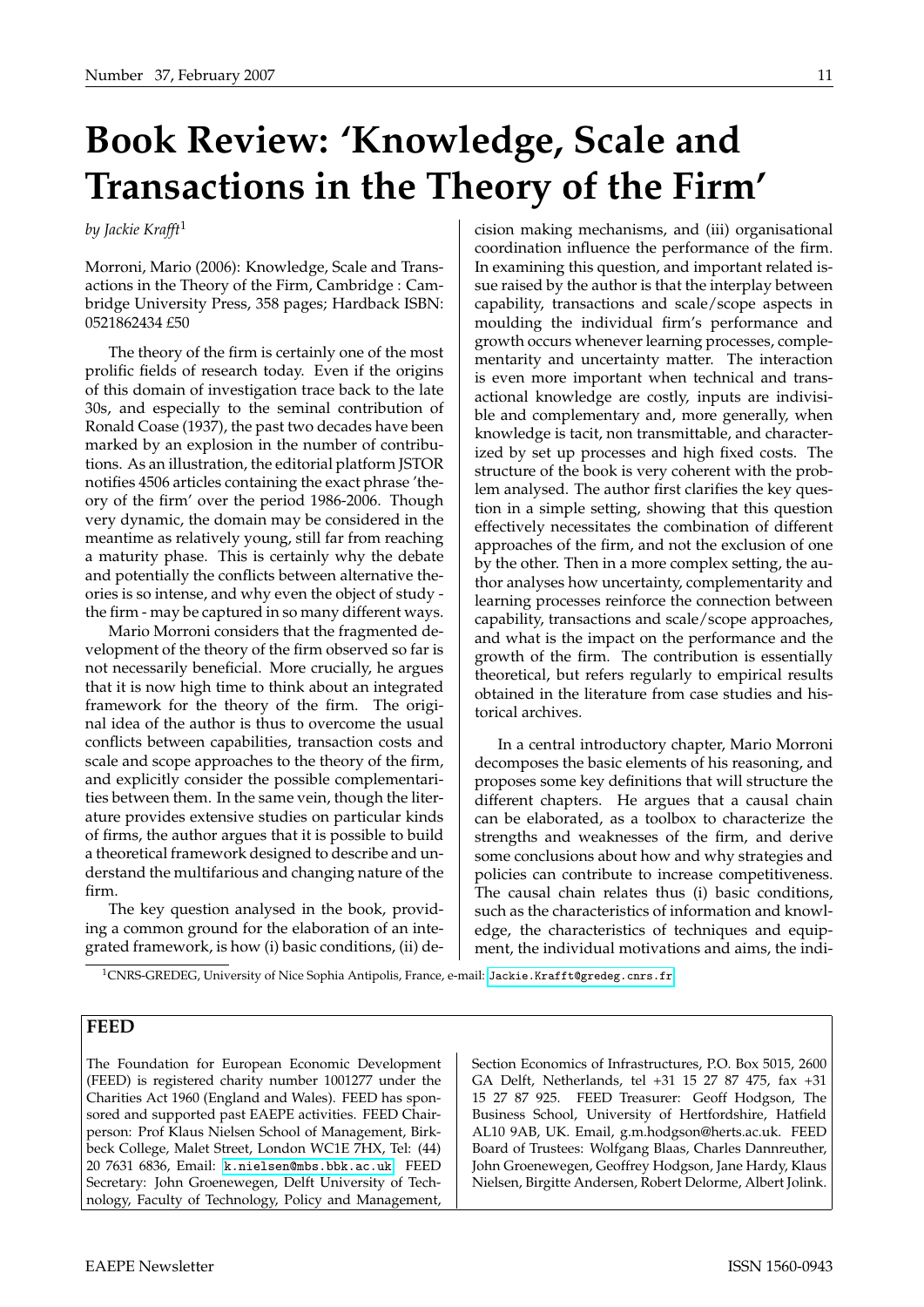## **Book Review: 'Knowledge, Scale and Transactions in the Theory of the Firm'**

*by Jackie Krafft*<sup>1</sup>

Morroni, Mario (2006): Knowledge, Scale and Transactions in the Theory of the Firm, Cambridge : Cambridge University Press, 358 pages; Hardback ISBN: 0521862434 £50

The theory of the firm is certainly one of the most prolific fields of research today. Even if the origins of this domain of investigation trace back to the late 30s, and especially to the seminal contribution of Ronald Coase (1937), the past two decades have been marked by an explosion in the number of contributions. As an illustration, the editorial platform JSTOR notifies 4506 articles containing the exact phrase 'theory of the firm' over the period 1986-2006. Though very dynamic, the domain may be considered in the meantime as relatively young, still far from reaching a maturity phase. This is certainly why the debate and potentially the conflicts between alternative theories is so intense, and why even the object of study the firm - may be captured in so many different ways.

Mario Morroni considers that the fragmented development of the theory of the firm observed so far is not necessarily beneficial. More crucially, he argues that it is now high time to think about an integrated framework for the theory of the firm. The original idea of the author is thus to overcome the usual conflicts between capabilities, transaction costs and scale and scope approaches to the theory of the firm, and explicitly consider the possible complementarities between them. In the same vein, though the literature provides extensive studies on particular kinds of firms, the author argues that it is possible to build a theoretical framework designed to describe and understand the multifarious and changing nature of the firm.

The key question analysed in the book, providing a common ground for the elaboration of an integrated framework, is how (i) basic conditions, (ii) decision making mechanisms, and (iii) organisational coordination influence the performance of the firm. In examining this question, and important related issue raised by the author is that the interplay between capability, transactions and scale/scope aspects in moulding the individual firm's performance and growth occurs whenever learning processes, complementarity and uncertainty matter. The interaction is even more important when technical and transactional knowledge are costly, inputs are indivisible and complementary and, more generally, when knowledge is tacit, non transmittable, and characterized by set up processes and high fixed costs. The structure of the book is very coherent with the problem analysed. The author first clarifies the key question in a simple setting, showing that this question effectively necessitates the combination of different approaches of the firm, and not the exclusion of one by the other. Then in a more complex setting, the author analyses how uncertainty, complementarity and learning processes reinforce the connection between capability, transactions and scale/scope approaches, and what is the impact on the performance and the growth of the firm. The contribution is essentially theoretical, but refers regularly to empirical results obtained in the literature from case studies and historical archives.

In a central introductory chapter, Mario Morroni decomposes the basic elements of his reasoning, and proposes some key definitions that will structure the different chapters. He argues that a causal chain can be elaborated, as a toolbox to characterize the strengths and weaknesses of the firm, and derive some conclusions about how and why strategies and policies can contribute to increase competitiveness. The causal chain relates thus (i) basic conditions, such as the characteristics of information and knowledge, the characteristics of techniques and equipment, the individual motivations and aims, the indi-

<sup>1</sup>CNRS-GREDEG, University of Nice Sophia Antipolis, France, e-mail: [Jackie.Krafft@gredeg.cnrs.fr](mailto:Jackie.Krafft@gredeg.cnrs.fr).

## **FEED**

The Foundation for European Economic Development (FEED) is registered charity number 1001277 under the Charities Act 1960 (England and Wales). FEED has sponsored and supported past EAEPE activities. FEED Chairperson: Prof Klaus Nielsen School of Management, Birkbeck College, Malet Street, London WC1E 7HX, Tel: (44) 20 7631 6836, Email: [k.nielsen@mbs.bbk.ac.uk](mailto:k.nielsen@mbs.bbk.ac.uk). FEED Secretary: John Groenewegen, Delft University of Technology, Faculty of Technology, Policy and Management,

Section Economics of Infrastructures, P.O. Box 5015, 2600 GA Delft, Netherlands, tel +31 15 27 87 475, fax +31 15 27 87 925. FEED Treasurer: Geoff Hodgson, The Business School, University of Hertfordshire, Hatfield AL10 9AB, UK. Email, g.m.hodgson@herts.ac.uk. FEED Board of Trustees: Wolfgang Blaas, Charles Dannreuther, John Groenewegen, Geoffrey Hodgson, Jane Hardy, Klaus Nielsen, Birgitte Andersen, Robert Delorme, Albert Jolink.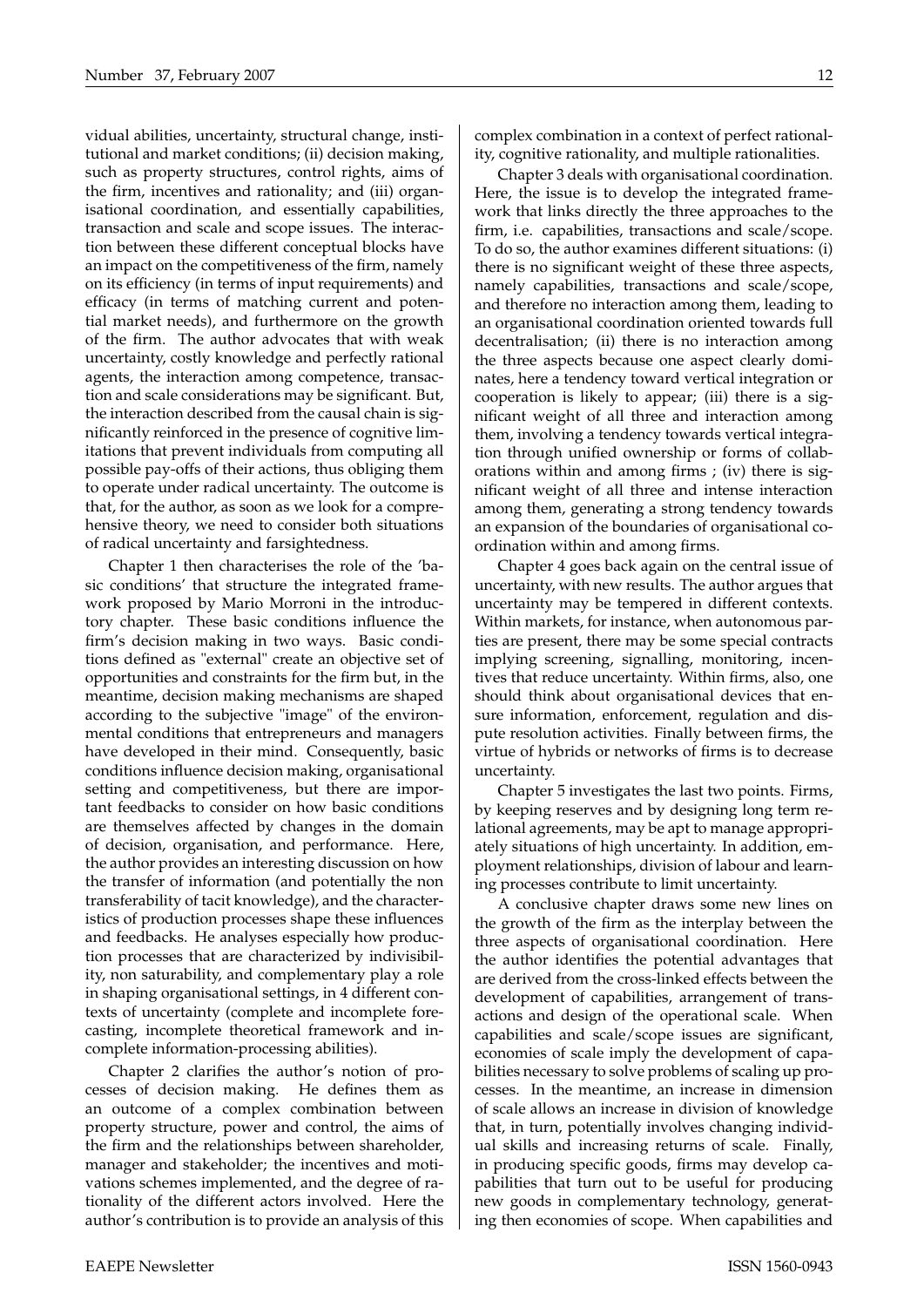vidual abilities, uncertainty, structural change, institutional and market conditions; (ii) decision making, such as property structures, control rights, aims of the firm, incentives and rationality; and (iii) organisational coordination, and essentially capabilities, transaction and scale and scope issues. The interaction between these different conceptual blocks have an impact on the competitiveness of the firm, namely on its efficiency (in terms of input requirements) and efficacy (in terms of matching current and potential market needs), and furthermore on the growth of the firm. The author advocates that with weak uncertainty, costly knowledge and perfectly rational agents, the interaction among competence, transaction and scale considerations may be significant. But, the interaction described from the causal chain is significantly reinforced in the presence of cognitive limitations that prevent individuals from computing all possible pay-offs of their actions, thus obliging them to operate under radical uncertainty. The outcome is that, for the author, as soon as we look for a comprehensive theory, we need to consider both situations of radical uncertainty and farsightedness.

Chapter 1 then characterises the role of the 'basic conditions' that structure the integrated framework proposed by Mario Morroni in the introductory chapter. These basic conditions influence the firm's decision making in two ways. Basic conditions defined as "external" create an objective set of opportunities and constraints for the firm but, in the meantime, decision making mechanisms are shaped according to the subjective "image" of the environmental conditions that entrepreneurs and managers have developed in their mind. Consequently, basic conditions influence decision making, organisational setting and competitiveness, but there are important feedbacks to consider on how basic conditions are themselves affected by changes in the domain of decision, organisation, and performance. Here, the author provides an interesting discussion on how the transfer of information (and potentially the non transferability of tacit knowledge), and the characteristics of production processes shape these influences and feedbacks. He analyses especially how production processes that are characterized by indivisibility, non saturability, and complementary play a role in shaping organisational settings, in 4 different contexts of uncertainty (complete and incomplete forecasting, incomplete theoretical framework and incomplete information-processing abilities).

Chapter 2 clarifies the author's notion of processes of decision making. He defines them as an outcome of a complex combination between property structure, power and control, the aims of the firm and the relationships between shareholder, manager and stakeholder; the incentives and motivations schemes implemented, and the degree of rationality of the different actors involved. Here the author's contribution is to provide an analysis of this

complex combination in a context of perfect rationality, cognitive rationality, and multiple rationalities.

Chapter 3 deals with organisational coordination. Here, the issue is to develop the integrated framework that links directly the three approaches to the firm, i.e. capabilities, transactions and scale/scope. To do so, the author examines different situations: (i) there is no significant weight of these three aspects, namely capabilities, transactions and scale/scope, and therefore no interaction among them, leading to an organisational coordination oriented towards full decentralisation; (ii) there is no interaction among the three aspects because one aspect clearly dominates, here a tendency toward vertical integration or cooperation is likely to appear; (iii) there is a significant weight of all three and interaction among them, involving a tendency towards vertical integration through unified ownership or forms of collaborations within and among firms ; (iv) there is significant weight of all three and intense interaction among them, generating a strong tendency towards an expansion of the boundaries of organisational coordination within and among firms.

Chapter 4 goes back again on the central issue of uncertainty, with new results. The author argues that uncertainty may be tempered in different contexts. Within markets, for instance, when autonomous parties are present, there may be some special contracts implying screening, signalling, monitoring, incentives that reduce uncertainty. Within firms, also, one should think about organisational devices that ensure information, enforcement, regulation and dispute resolution activities. Finally between firms, the virtue of hybrids or networks of firms is to decrease uncertainty.

Chapter 5 investigates the last two points. Firms, by keeping reserves and by designing long term relational agreements, may be apt to manage appropriately situations of high uncertainty. In addition, employment relationships, division of labour and learning processes contribute to limit uncertainty.

A conclusive chapter draws some new lines on the growth of the firm as the interplay between the three aspects of organisational coordination. Here the author identifies the potential advantages that are derived from the cross-linked effects between the development of capabilities, arrangement of transactions and design of the operational scale. When capabilities and scale/scope issues are significant, economies of scale imply the development of capabilities necessary to solve problems of scaling up processes. In the meantime, an increase in dimension of scale allows an increase in division of knowledge that, in turn, potentially involves changing individual skills and increasing returns of scale. Finally, in producing specific goods, firms may develop capabilities that turn out to be useful for producing new goods in complementary technology, generating then economies of scope. When capabilities and